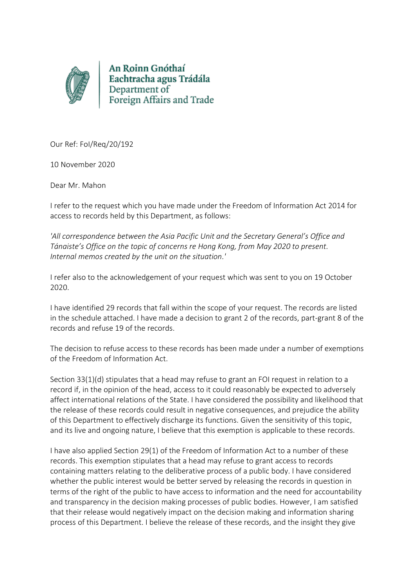

An Roinn Gnóthaí Eachtracha agus Trádála Department of Foreign Affairs and Trade

Our Ref: FoI/Req/20/192

10 November 2020

Dear Mr. Mahon

I refer to the request which you have made under the Freedom of Information Act 2014 for access to records held by this Department, as follows:

*'All correspondence between the Asia Pacific Unit and the Secretary General's Office and Tánaiste's Office on the topic of concerns re Hong Kong, from May 2020 to present. Internal memos created by the unit on the situation.'*

I refer also to the acknowledgement of your request which was sent to you on 19 October 2020.

I have identified 29 records that fall within the scope of your request. The records are listed in the schedule attached. I have made a decision to grant 2 of the records, part-grant 8 of the records and refuse 19 of the records.

The decision to refuse access to these records has been made under a number of exemptions of the Freedom of Information Act.

Section 33(1)(d) stipulates that a head may refuse to grant an FOI request in relation to a record if, in the opinion of the head, access to it could reasonably be expected to adversely affect international relations of the State. I have considered the possibility and likelihood that the release of these records could result in negative consequences, and prejudice the ability of this Department to effectively discharge its functions. Given the sensitivity of this topic, and its live and ongoing nature, I believe that this exemption is applicable to these records.

I have also applied Section 29(1) of the Freedom of Information Act to a number of these records. This exemption stipulates that a head may refuse to grant access to records containing matters relating to the deliberative process of a public body. I have considered whether the public interest would be better served by releasing the records in question in terms of the right of the public to have access to information and the need for accountability and transparency in the decision making processes of public bodies. However, I am satisfied that their release would negatively impact on the decision making and information sharing process of this Department. I believe the release of these records, and the insight they give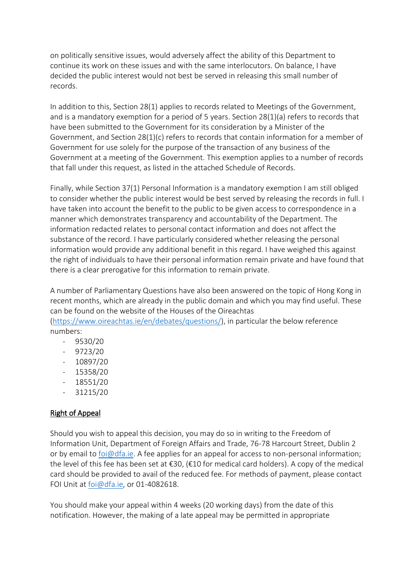on politically sensitive issues, would adversely affect the ability of this Department to continue its work on these issues and with the same interlocutors. On balance, I have decided the public interest would not best be served in releasing this small number of records.

In addition to this, Section 28(1) applies to records related to Meetings of the Government, and is a mandatory exemption for a period of 5 years. Section  $28(1)(a)$  refers to records that have been submitted to the Government for its consideration by a Minister of the Government, and Section 28(1)(c) refers to records that contain information for a member of Government for use solely for the purpose of the transaction of any business of the Government at a meeting of the Government. This exemption applies to a number of records that fall under this request, as listed in the attached Schedule of Records.

Finally, while Section 37(1) Personal Information is a mandatory exemption I am still obliged to consider whether the public interest would be best served by releasing the records in full. I have taken into account the benefit to the public to be given access to correspondence in a manner which demonstrates transparency and accountability of the Department. The information redacted relates to personal contact information and does not affect the substance of the record. I have particularly considered whether releasing the personal information would provide any additional benefit in this regard. I have weighed this against the right of individuals to have their personal information remain private and have found that there is a clear prerogative for this information to remain private.

A number of Parliamentary Questions have also been answered on the topic of Hong Kong in recent months, which are already in the public domain and which you may find useful. These can be found on the website of the Houses of the Oireachtas

[\(https://www.oireachtas.ie/en/debates/questions/\)](https://www.oireachtas.ie/en/debates/questions/), in particular the below reference numbers:

- 9530/20
- 9723/20
- 10897/20
- 15358/20
- 18551/20
- 31215/20

## Right of Appeal

Should you wish to appeal this decision, you may do so in writing to the Freedom of Information Unit, Department of Foreign Affairs and Trade, 76-78 Harcourt Street, Dublin 2 or by email to [foi@dfa.ie.](mailto:foi@dfa.ie) A fee applies for an appeal for access to non-personal information; the level of this fee has been set at €30, (€10 for medical card holders). A copy of the medical card should be provided to avail of the reduced fee. For methods of payment, please contact FOI Unit at [foi@dfa.ie,](mailto:foi@dfa.ie) or 01-4082618.

You should make your appeal within 4 weeks (20 working days) from the date of this notification. However, the making of a late appeal may be permitted in appropriate